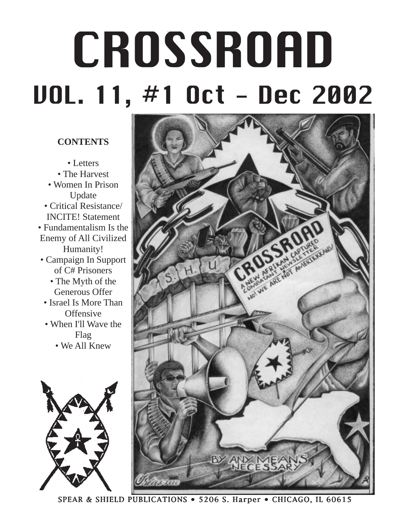# $\mathcal{L}=\mathcal{L}=\mathcal{L}=\mathcal{L}=\mathcal{L}=\mathcal{L}=\mathcal{L}=\mathcal{L}=\mathcal{L}=\mathcal{L}=\mathcal{L}=\mathcal{L}=\mathcal{L}=\mathcal{L}=\mathcal{L}=\mathcal{L}=\mathcal{L}=\mathcal{L}=\mathcal{L}=\mathcal{L}=\mathcal{L}=\mathcal{L}=\mathcal{L}=\mathcal{L}=\mathcal{L}=\mathcal{L}=\mathcal{L}=\mathcal{L}=\mathcal{L}=\mathcal{L}=\mathcal{L}=\mathcal{L}=\mathcal{L}=\mathcal{L}=\mathcal{L}=\mathcal{L}=\mathcal{$ **CROSSROAD** VOL. 11, #1 Oct - Dec 2002

#### **CONTENTS**

• Letters • The Harvest • Women In Prison Update • Critical Resistance/ INCITE! Statement • Fundamentalism Is the Enemy of All Civilized Humanity! • Campaign In Support of C# Prisoners • The Myth of the Generous Offer • Israel Is More Than **Offensive** • When I'll Wave the Flag

• We All Knew





SPEAR & SHIELD PUBLICATIONS • 5206 S. Harper • CHICAGO, IL 60615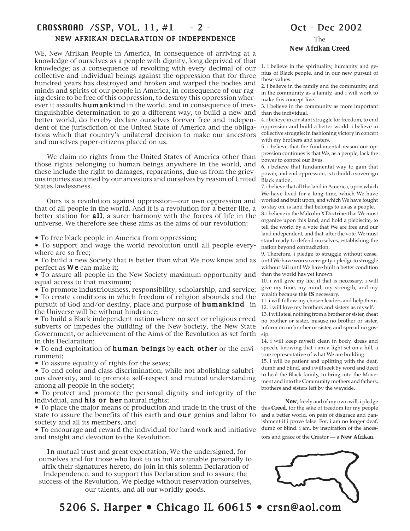#### CROSSROAD /SSP, VOL. 11, #1 - 2 - Oct - Dec 2002 NEW AFRIKAN DECLARATION OF INDEPENDENCE

WE, New Afrikan People in America, in consequence of arriving at a knowledge of ourselves as a people with dignity, long deprived of that knowledge; as a consequence of revolting with every decimal of our collective and individual beings against the oppression that for three hundred years has destroyed and broken and warped the bodies and minds and spirits of our people in America, in consequence of our raging desire to be free of this oppression, to destroy this oppression wherever it assaults **humankind** in the world, and in consequence of inextinguishable determination to go a different way, to build a new and better world, do hereby declare ourselves forever free and independent of the jurisdiction of the United State of America and the obligations which that country's unilateral decision to make our ancestors and ourselves paper-citizens placed on us.

 We claim no rights from the United States of America other than those rights belonging to human beings anywhere in the world, and these include the right to damages, reparations, due us from the grievous injuries sustained by our ancestors and ourselves by reason of United States lawlessness.

 Ours is a revolution against oppression—our own oppression and that of all people in the world. And it is a revolution for a better life, a better station for **all**, a surer harmony with the forces of life in the universe. We therefore see these aims as the aims of our revolution:

• To free black people in America from oppression;

• To support and wage the world revolution until all people everywhere are so free;

• To build a new Society that is better than what We now know and as perfect as We can make it;

• To assure all people in the New Society maximum opportunity and equal access to that maximum;

• To promote industriousness, responsibility, scholarship, and service; • To create conditions in which freedom of religion abounds and the pursuit of God and/or destiny, place and purpose of **humankind** in the Universe will be without hindrance;

• To build a Black independent nation where no sect or religious creed subverts or impedes the building of the New Society, the New State Government, or achievement of the Aims of the Revolution as set forth in this Declaration;

• To end exploitation of human beings by each other or the environment;

• To assure equality of rights for the sexes;

• To end color and class discrimination, while not abolishing salubrious diversity, and to promote self-respect and mutual understanding among all people in the society;

• To protect and promote the personal dignity and integrity of the individual, and his or her natural rights;

• To place the major means of production and trade in the trust of the state to assure the benefits of this earth and **our** genius and labor to society and all its members, and

• To encourage and reward the individual for hard work and initiative and insight and devotion to the Revolution.

In mutual trust and great expectation, We the undersigned, for ourselves and for those who look to us but are unable personally to affix their signatures hereto, do join in this solemn Declaration of Independence, and to support this Declaration and to assure the success of the Revolution, We pledge without reservation ourselves, our talents, and all our worldly goods.

The **New Afrikan Creed**

1. i believe in the spirituality, humanity and genius of Black people, and in our new pursuit of these values.

2. i believe in the family and the community, and in the community as a family, and i will work to make this concept live.

3. i believe in the community as more important than the individual.

4. i believe in constant struggle for freedom, to end oppression and build a better world. i believe in collective struggle; in fashioning victory in concert with my brothers and sisters.

5. i believe that the fundamental reason our oppression continues is that We, as a people, lack the power to control our lives.

6. i believe that fundamental way to gain that power, and end oppression, is to build a sovereign Black nation.

7. i believe that all the land in America, upon which We have lived for a long time, which We have worked and built upon, and which We have fought to stay on, is land that belongs to us as a people.

8. i believe in the Malcolm X Doctrine: that We must organize upon this land, and hold a plebiscite, to tell the world by a vote that We are free and our land independent, and that, after the vote, We must stand ready to defend ourselves, establishing the nation beyond contradiction.

9. Therefore, i pledge to struggle without cease, until We have won sovereignty. i pledge to struggle without fail until We have built a better condition than the world has yet known.

10. i will give my life, if that is necessary; i will give my time, my mind, my strength, and my wealth because this **IS** necessary.

11. i will follow my chosen leaders and help them. 12. i will love my brothers and sisters as myself.

13. i will steal nothing from a brother or sister, cheat no brother or sister, misuse no brother or sister, inform on no brother or sister, and spread no gossip.

14. i will keep myself clean in body, dress and speech, knowing that i am a light set on a hill, a true representative of what We are building.

15. i will be patient and uplifting with the deaf, dumb and blind, and i will seek by word and deed to heal the Black family, to bring into the Movement and into the Community mothers and fathers, brothers and sisters left by the wayside.

**Now**, freely and of my own will, i pledge this **Creed**, for the sake of freedom for my people and a better world, on pain of disgrace and banishment if i prove false. For, i am no longer deaf, dumb or blind. i am, by inspiration of the ancestors and grace of the Creator — a **New Afrikan.**

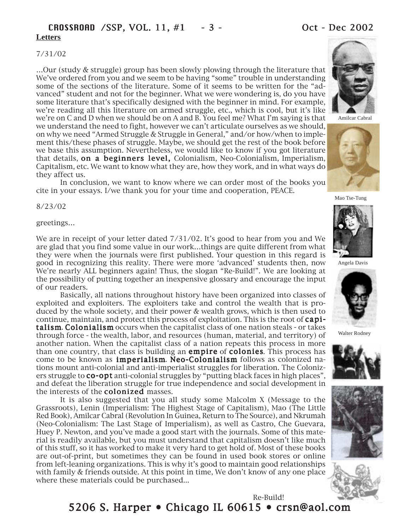#### 7/31/02

…Our (study & struggle) group has been slowly plowing through the literature that We've ordered from you and we seem to be having "some" trouble in understanding some of the sections of the literature. Some of it seems to be written for the "advanced" student and not for the beginner. What we were wondering is, do you have some literature that's specifically designed with the beginner in mind. For example, we're reading all this literature on armed struggle, etc., which is cool, but it's like we're on C and D when we should be on A and B. You feel me? What I'm saying is that we understand the need to fight, however we can't articulate ourselves as we should, on why we need "Armed Struggle & Struggle in General," and/or how/when to implement this/these phases of struggle. Maybe, we should get the rest of the book before we base this assumption. Nevertheless, we would like to know if you got literature that details, on a beginners level, Colonialism, Neo-Colonialism, Imperialism, Capitalism, etc. We want to know what they are, how they work, and in what ways do they affect us.

In conclusion, we want to know where we can order most of the books you cite in your essays. I/we thank you for your time and cooperation, PEACE.

8/23/02

greetings…

We are in receipt of your letter dated 7/31/02. It's good to hear from you and We are glad that you find some value in our work…things are quite different from what they were when the journals were first published. Your question in this regard is good in recognizing this reality. There were more 'advanced' students then, now We're nearly ALL beginners again! Thus, the slogan "Re-Build!". We are looking at the possibility of putting together an inexpensive glossary and encourage the input of our readers.

Basically, all nations throughout history have been organized into classes of exploited and exploiters. The exploiters take and control the wealth that is produced by the whole society, and their power & wealth grows, which is then used to continue, maintain, and protect this process of exploitation. This is the root of capitalism. Colonialism occurs when the capitalist class of one nation steals - or takes through force - the wealth, labor, and resources (human, material, and territory) of another nation. When the capitalist class of a nation repeats this process in more than one country, that class is building an **empire** of **colonies**. This process has come to be known as imperialism. Neo-Colonialism follows as colonized nations mount anti-colonial and anti-imperialist struggles for liberation. The Colonizers struggle to co-opt anti-colonial struggles by "putting black faces in high places", and defeat the liberation struggle for true independence and social development in the interests of the colonized masses.

It is also suggested that you all study some Malcolm X (Message to the Grassroots), Lenin (Imperialism: The Highest Stage of Capitalism), Mao (The Little Red Book), Amilcar Cabral (Revolution In Guinea, Return to The Source), and Nkrumah (Neo-Colonialism: The Last Stage of Imperialism), as well as Castro, Che Guevara, Huey P. Newton, and you've made a good start with the journals. Some of this material is readily available, but you must understand that capitalism doesn't like much of this stuff, so it has worked to make it very hard to get hold of. Most of these books are out-of-print, but sometimes they can be found in used book stores or online from left-leaning organizations. This is why it's good to maintain good relationships with family & friends outside. At this point in time, We don't know of any one place where these materials could be purchased...







Angela Davis



Walter Rodney





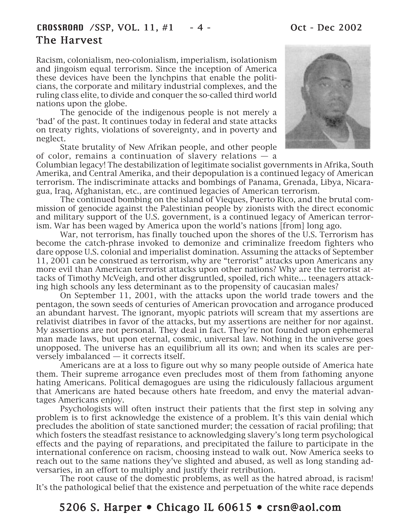Racism, colonialism, neo-colonialism, imperialism, isolationism and jingoism equal terrorism. Since the inception of America these devices have been the lynchpins that enable the politicians, the corporate and military industrial complexes, and the ruling class elite, to divide and conquer the so-called third world nations upon the globe.

The genocide of the indigenous people is not merely a 'bad' of the past. It continues today in federal and state attacks on treaty rights, violations of sovereignty, and in poverty and neglect.

State brutality of New Afrikan people, and other people of color, remains a continuation of slavery relations  $-$  a



Columbian legacy! The destabilization of legitimate socialist governments in Afrika, South Amerika, and Central Amerika, and their depopulation is a continued legacy of American terrorism. The indiscriminate attacks and bombings of Panama, Grenada, Libya, Nicaragua, Iraq, Afghanistan, etc., are continued legacies of American terrorism.

The continued bombing on the island of Vieques, Puerto Rico, and the brutal commission of genocide against the Palestinian people by zionists with the direct economic and military support of the U.S. government, is a continued legacy of American terrorism. War has been waged by America upon the world's nations [from] long ago.

War, not terrorism, has finally touched upon the shores of the U.S. Terrorism has become the catch-phrase invoked to demonize and criminalize freedom fighters who dare oppose U.S. colonial and imperialist domination. Assuming the attacks of September 11, 2001 can be construed as terrorism, why are "terrorist" attacks upon Americans any more evil than American terrorist attacks upon other nations? Why are the terrorist attacks of Timothy McVeigh, and other disgruntled, spoiled, rich white… teenagers attacking high schools any less determinant as to the propensity of caucasian males?

On September 11, 2001, with the attacks upon the world trade towers and the pentagon, the sown seeds of centuries of American provocation and arrogance produced an abundant harvest. The ignorant, myopic patriots will scream that my assertions are relativist diatribes in favor of the attacks, but my assertions are neither for nor against. My assertions are not personal. They deal in fact. They're not founded upon ephemeral man made laws, but upon eternal, cosmic, universal law. Nothing in the universe goes unopposed. The universe has an equilibrium all its own; and when its scales are perversely imbalanced — it corrects itself.

Americans are at a loss to figure out why so many people outside of America hate them. Their supreme arrogance even precludes most of them from fathoming anyone hating Americans. Political demagogues are using the ridiculously fallacious argument that Americans are hated because others hate freedom, and envy the material advantages Americans enjoy.

Psychologists will often instruct their patients that the first step in solving any problem is to first acknowledge the existence of a problem. It's this vain denial which precludes the abolition of state sanctioned murder; the cessation of racial profiling; that which fosters the steadfast resistance to acknowledging slavery's long term psychological effects and the paying of reparations, and precipitated the failure to participate in the international conference on racism, choosing instead to walk out. Now America seeks to reach out to the same nations they've slighted and abused, as well as long standing adversaries, in an effort to multiply and justify their retribution.

The root cause of the domestic problems, as well as the hatred abroad, is racism! It's the pathological belief that the existence and perpetuation of the white race depends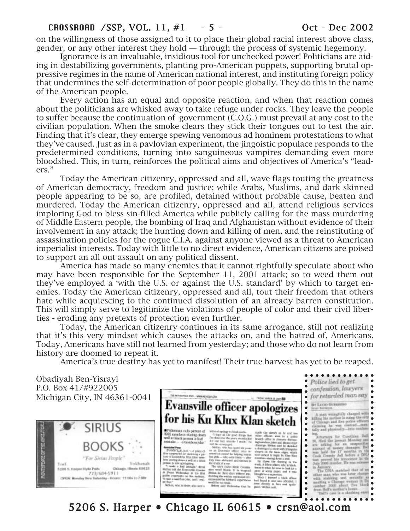on the willingness of those assigned to it to place their global racial interest above class, gender, or any other interest they hold — through the process of systemic hegemony.

Ignorance is an invaluable, insidious tool for unchecked power! Politicians are aiding in destabilizing governments, planting pro-American puppets, supporting brutal oppressive regimes in the name of American national interest, and instituting foreign policy that undermines the self-determination of poor people globally. They do this in the name of the American people.

Every action has an equal and opposite reaction, and when that reaction comes about the politicians are whisked away to take refuge under rocks. They leave the people to suffer because the continuation of government (C.O.G.) must prevail at any cost to the civilian population. When the smoke clears they stick their tongues out to test the air. Finding that it's clear, they emerge spewing venomous ad hominem protestations to what they've caused. Just as in a pavlovian experiment, the jingoistic populace responds to the predetermined conditions, turning into sanguineous vampires demanding even more bloodshed. This, in turn, reinforces the political aims and objectives of America's "leaders."

Today the American citizenry, oppressed and all, wave flags touting the greatness of American democracy, freedom and justice; while Arabs, Muslims, and dark skinned people appearing to be so, are profiled, detained without probable cause, beaten and murdered. Today the American citizenry, oppressed and all, attend religious services imploring God to bless sin-filled America while publicly calling for the mass murdering of Middle Eastern people, the bombing of Iraq and Afghanistan without evidence of their involvement in any attack; the hunting down and killing of men, and the reinstituting of assassination policies for the rogue C.I.A. against anyone viewed as a threat to American imperialist interests. Today with little to no direct evidence, American citizens are poised to support an all out assault on any political dissent.

America has made so many enemies that it cannot rightfully speculate about who may have been responsible for the September 11, 2001 attack; so to weed them out they've employed a 'with the U.S. or against the U.S. standard' by which to target enemies. Today the American citizenry, oppressed and all, tout their freedom that others hate while acquiescing to the continued dissolution of an already barren constitution. This will simply serve to legitimize the violations of people of color and their civil liberties - eroding any pretexts of protection even further.

Today, the American citizenry continues in its same arrogance, still not realizing that it's this very mindset which causes the attacks on, and the hatred of, Americans. Today, Americans have still not learned from yesterday; and those who do not learn from history are doomed to repeat it.

America's true destiny has yet to manifest! Their true harvest has yet to be reaped.

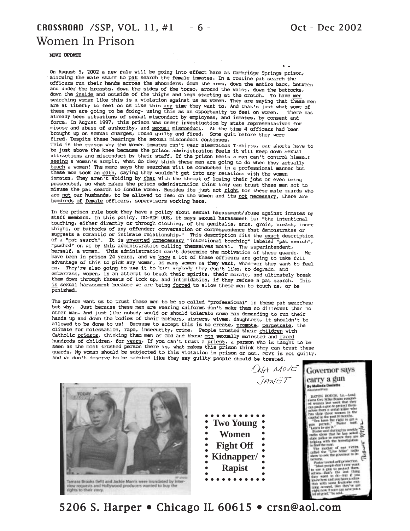#### Women In Prison

#### MOVE UPDATE

On August 5, 2002 a new rule will be going into effect here at Cambridge Springs prison, allowing the male staff to pat search the female inmates. In a routine pat search the officers run their hands across the shoulders, down the arms, down the entire back, between and under the breasts, down the sides of the torso, around the waist, down the buttocks, down the inside and outside of the thighs and legs starting at the crotch. To have men searching women like this is a violation against us as women. They are saying that these men are at liberty to feel on us like this any time they want to. And that's just what some of these men are going to be doing- using this as an opportunity to feel on women. There has energy been situations of sexual misconduct by employees, and inmates, by consent and<br>force. In August 1997, this prison was under investigation by state representatives for<br>force. In August 1997, this prison was under inv misuse and abuse of authority, and <u>sexual</u> misconduct. At the time 4 officers had been<br>brought up on sexual charges, found guilty and fired. Some quit before they were fired. Despite these hearings the sexual misconduct continues. This is the reason why the women inmates can't wear sleeveless T-shirts, our shorts have to be just above the knee because the prison administration feels it will keep down sexual attractions and misconduct by their staff. If the prison feels a man can't control himself seeing a woman's armpit, what do they think these men are going to do when they actually touch a woman! The memo says the searches will be conducted in a professional manner but these men took an oath, saying they wouldn't get into any relations with the women inmates. They aren't abiding by that with the threat of losing their jobs or even being prosecuted, so what makes the prison administration think they can trust these men not to mission and the pat search to fondle women. Besides its just not <u>right</u> for these male guards who are not our husbands, to be allowed to feel on the women and its not necessary, there are hundreds of female officers, supervisors working here.

In the prison rule book they have a policy about sexual harassment/abuse against inmates by staff members. In this policy, DC-ADM 008, it says sexual harassment is: "the intentional touching, either directly or through clothing, of the genitalia, anus, groin, breast, inner<br>thicke or buttocks of any offendor, convention of the genitalia, anus, groin, breast, inner thighs, or buttocks of any offender; conversation or correspondence that demonstrates or suggests a romantic or intimate relationship." This description fits the exact description<br>of a "pat search". It is <u>unwanted</u> unnecessary "intentional touching" labeled "pat search", "pushed" on us by this administration calling themselves moral. The superintendent, herself, a woman. This administration can't determine the motivation of these guards. have been in prison 24 years, and we know a lot of these officers are going to take full advantage of this to pick any woman, as many women as they want, whenever they want to feel on. They're also going to use it to hurt anybody they don't like, to degrade, and embarrass, women, in an attempt to break their spirits, their morale, and ultimately break them down through threats of lock up, and intimidation, if they refuse a pat search. This is sexual harassment because we are being forced to allow these men to touch us, or be punished.

The prison want us to trust these men to be so called "professional" in these pat searches; but why. Just because these men are wearing uniforms don't make them no different than no other man. And just like nobody would or should tolerate some man demanding to run their bands up and down the books of their mothers, sisters, wives, daughters, it shouldn't be allowed to be done to us! Because to accept this is to create, promote. The comment of the climate for molestation, rape, insecurity, climate for molestation, rape, insecurity, crime. People trusted their children with Catholic priests, thinking them men of God and those men sexually molested and raped hundreds of children, for years. If you can't trust a priest, a person who is taught to be seen as the most trusted person there is, what makes this prison think they can trust these guards. No woman should be subjected to this violation in prison or out. MOVE is not guilty, and we don't deserve to be treated like they say guilty people should be treated.

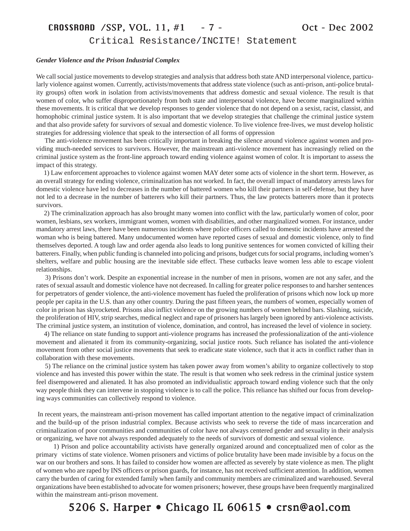Critical Resistance/INCITE! Statement

#### *Gender Violence and the Prison Industrial Complex*

We call social justice movements to develop strategies and analysis that address both state AND interpersonal violence, particularly violence against women. Currently, activists/movements that address state violence (such as anti-prison, anti-police brutality groups) often work in isolation from activists/movements that address domestic and sexual violence. The result is that women of color, who suffer disproportionately from both state and interpersonal violence, have become marginalized within these movements. It is critical that we develop responses to gender violence that do not depend on a sexist, racist, classist, and homophobic criminal justice system. It is also important that we develop strategies that challenge the criminal justice system and that also provide safety for survivors of sexual and domestic violence. To live violence free-lives, we must develop holistic strategies for addressing violence that speak to the intersection of all forms of oppression

 The anti-violence movement has been critically important in breaking the silence around violence against women and providing much-needed services to survivors. However, the mainstream anti-violence movement has increasingly relied on the criminal justice system as the front-line approach toward ending violence against women of color. It is important to assess the impact of this strategy.

 1) Law enforcement approaches to violence against women MAY deter some acts of violence in the short term. However, as an overall strategy for ending violence, criminalization has not worked. In fact, the overall impact of mandatory arrests laws for domestic violence have led to decreases in the number of battered women who kill their partners in self-defense, but they have not led to a decrease in the number of batterers who kill their partners. Thus, the law protects batterers more than it protects survivors.

 2) The criminalization approach has also brought many women into conflict with the law, particularly women of color, poor women, lesbians, sex workers, immigrant women, women with disabilities, and other marginalized women. For instance, under mandatory arrest laws, there have been numerous incidents where police officers called to domestic incidents have arrested the woman who is being battered. Many undocumented women have reported cases of sexual and domestic violence, only to find themselves deported. A tough law and order agenda also leads to long punitive sentences for women convicted of killing their batterers. Finally, when public funding is channeled into policing and prisons, budget cuts for social programs, including women's shelters, welfare and public housing are the inevitable side effect. These cutbacks leave women less able to escape violent relationships.

 3) Prisons don't work. Despite an exponential increase in the number of men in prisons, women are not any safer, and the rates of sexual assault and domestic violence have not decreased. In calling for greater police responses to and harsher sentences for perpetrators of gender violence, the anti-violence movement has fueled the proliferation of prisons which now lock up more people per capita in the U.S. than any other country. During the past fifteen years, the numbers of women, especially women of color in prison has skyrocketed. Prisons also inflict violence on the growing numbers of women behind bars. Slashing, suicide, the proliferation of HIV, strip searches, medical neglect and rape of prisoners has largely been ignored by anti-violence activists. The criminal justice system, an institution of violence, domination, and control, has increased the level of violence in society.

 4) The reliance on state funding to support anti-violence programs has increased the professionalization of the anti-violence movement and alienated it from its community-organizing, social justice roots. Such reliance has isolated the anti-violence movement from other social justice movements that seek to eradicate state violence, such that it acts in conflict rather than in collaboration with these movements.

 5) The reliance on the criminal justice system has taken power away from women's ability to organize collectively to stop violence and has invested this power within the state. The result is that women who seek redress in the criminal justice system feel disempowered and alienated. It has also promoted an individualistic approach toward ending violence such that the only way people think they can intervene in stopping violence is to call the police. This reliance has shifted our focus from developing ways communities can collectively respond to violence.

In recent years, the mainstream anti-prison movement has called important attention to the negative impact of criminalization and the build-up of the prison industrial complex. Because activists who seek to reverse the tide of mass incarceration and criminalization of poor communities and communities of color have not always centered gender and sexuality in their analysis or organizing, we have not always responded adequately to the needs of survivors of domestic and sexual violence.

 1) Prison and police accountability activists have generally organized around and conceptualized men of color as the primary victims of state violence. Women prisoners and victims of police brutality have been made invisible by a focus on the war on our brothers and sons. It has failed to consider how women are affected as severely by state violence as men. The plight of women who are raped by INS officers or prison guards, for instance, has not received sufficient attention. In addition, women carry the burden of caring for extended family when family and community members are criminalized and warehoused. Several organizations have been established to advocate for women prisoners; however, these groups have been frequently marginalized within the mainstream anti-prison movement.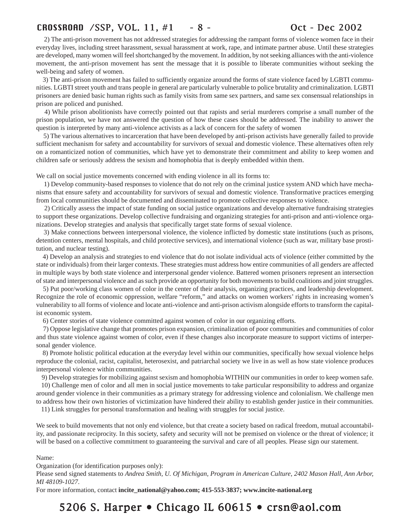#### CROSSROAD /SSP, VOL. 11, #1 - 8 - Oct - Dec 2002

 2) The anti-prison movement has not addressed strategies for addressing the rampant forms of violence women face in their everyday lives, including street harassment, sexual harassment at work, rape, and intimate partner abuse. Until these strategies are developed, many women will feel shortchanged by the movement. In addition, by not seeking alliances with the anti-violence movement, the anti-prison movement has sent the message that it is possible to liberate communities without seeking the well-being and safety of women.

 3) The anti-prison movement has failed to sufficiently organize around the forms of state violence faced by LGBTI communities. LGBTI street youth and trans people in general are particularly vulnerable to police brutality and criminalization. LGBTI prisoners are denied basic human rights such as family visits from same sex partners, and same sex consensual relationships in prison are policed and punished.

 4) While prison abolitionists have correctly pointed out that rapists and serial murderers comprise a small number of the prison population, we have not answered the question of how these cases should be addressed. The inability to answer the question is interpreted by many anti-violence activists as a lack of concern for the safety of women

 5) The various alternatives to incarceration that have been developed by anti-prison activists have generally failed to provide sufficient mechanism for safety and accountability for survivors of sexual and domestic violence. These alternatives often rely on a romanticized notion of communities, which have yet to demonstrate their commitment and ability to keep women and children safe or seriously address the sexism and homophobia that is deeply embedded within them.

We call on social justice movements concerned with ending violence in all its forms to:

 1) Develop community-based responses to violence that do not rely on the criminal justice system AND which have mechanisms that ensure safety and accountability for survivors of sexual and domestic violence. Transformative practices emerging from local communities should be documented and disseminated to promote collective responses to violence.

 2) Critically assess the impact of state funding on social justice organizations and develop alternative fundraising strategies to support these organizations. Develop collective fundraising and organizing strategies for anti-prison and anti-violence organizations. Develop strategies and analysis that specifically target state forms of sexual violence.

 3) Make connections between interpersonal violence, the violence inflicted by domestic state institutions (such as prisons, detention centers, mental hospitals, and child protective services), and international violence (such as war, military base prostitution, and nuclear testing).

 4) Develop an analysis and strategies to end violence that do not isolate individual acts of violence (either committed by the state or individuals) from their larger contexts. These strategies must address how entire communities of all genders are affected in multiple ways by both state violence and interpersonal gender violence. Battered women prisoners represent an intersection of state and interpersonal violence and as such provide an opportunity for both movements to build coalitions and joint struggles.

 5) Put poor/working class women of color in the center of their analysis, organizing practices, and leadership development. Recognize the role of economic oppression, welfare "reform," and attacks on women workers' rights in increasing women's vulnerability to all forms of violence and locate anti-violence and anti-prison activism alongside efforts to transform the capitalist economic system.

6) Center stories of state violence committed against women of color in our organizing efforts.

 7) Oppose legislative change that promotes prison expansion, criminalization of poor communities and communities of color and thus state violence against women of color, even if these changes also incorporate measure to support victims of interpersonal gender violence.

 8) Promote holistic political education at the everyday level within our communities, specifically how sexual violence helps reproduce the colonial, racist, capitalist, heterosexist, and patriarchal society we live in as well as how state violence produces interpersonal violence within communities.

 9) Develop strategies for mobilizing against sexism and homophobia WITHIN our communities in order to keep women safe. 10) Challenge men of color and all men in social justice movements to take particular responsibility to address and organize around gender violence in their communities as a primary strategy for addressing violence and colonialism. We challenge men to address how their own histories of victimization have hindered their ability to establish gender justice in their communities.

11) Link struggles for personal transformation and healing with struggles for social justice.

We seek to build movements that not only end violence, but that create a society based on radical freedom, mutual accountability, and passionate reciprocity. In this society, safety and security will not be premised on violence or the threat of violence; it will be based on a collective commitment to guaranteeing the survival and care of all peoples. Please sign our statement.

Name:

Organization (for identification purposes only):

Please send signed statements to *Andrea Smith, U. Of Michigan, Program in American Culture, 2402 Mason Hall, Ann Arbor, MI 48109-1027*.

For more information, contact **incite\_national@yahoo.com; 415-553-3837; www.incite-national.org**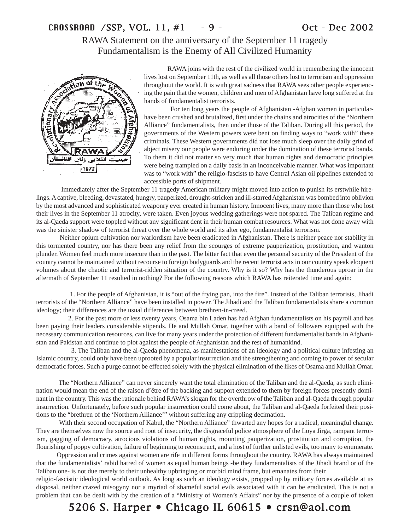#### RAWA Statement on the anniversary of the September 11 tragedy Fundamentalism is the Enemy of All Civilized Humanity



 RAWA joins with the rest of the civilized world in remembering the innocent lives lost on September 11th, as well as all those others lost to terrorism and oppression throughout the world. It is with great sadness that RAWA sees other people experiencing the pain that the women, children and men of Afghanistan have long suffered at the hands of fundamentalist terrorists.

 For ten long years the people of Afghanistan -Afghan women in particularhave been crushed and brutalized, first under the chains and atrocities of the "Northern Alliance" fundamentalists, then under those of the Taliban. During all this period, the governments of the Western powers were bent on finding ways to "work with" these criminals. These Western governments did not lose much sleep over the daily grind of abject misery our people were enduring under the domination of these terrorist bands. To them it did not matter so very much that human rights and democratic principles were being trampled on a daily basis in an inconceivable manner. What was important was to "work with" the religio-fascists to have Central Asian oil pipelines extended to accessible ports of shipment.

 Immediately after the September 11 tragedy American military might moved into action to punish its erstwhile hirelings. A captive, bleeding, devastated, hungry, pauperized, drought-stricken and ill-starred Afghanistan was bombed into oblivion by the most advanced and sophisticated weaponry ever created in human history. Innocent lives, many more than those who lost their lives in the September 11 atrocity, were taken. Even joyous wedding gatherings were not spared. The Taliban regime and its al-Qaeda support were toppled without any significant dent in their human combat resources. What was not done away with was the sinister shadow of terrorist threat over the whole world and its alter ego, fundamentalist terrorism.

 Neither opium cultivation nor warlordism have been eradicated in Afghanistan. There is neither peace nor stability in this tormented country, nor has there been any relief from the scourges of extreme pauperization, prostitution, and wanton plunder. Women feel much more insecure than in the past. The bitter fact that even the personal security of the President of the country cannot be maintained without recourse to foreign bodyguards and the recent terrorist acts in our country speak eloquent volumes about the chaotic and terrorist-ridden situation of the country. Why is it so? Why has the thunderous uproar in the aftermath of September 11 resulted in nothing? For the following reasons which RAWA has reiterated time and again:

 1. For the people of Afghanistan, it is "out of the frying pan, into the fire". Instead of the Taliban terrorists, Jihadi terrorists of the "Northern Alliance" have been installed in power. The Jihadi and the Taliban fundamentalists share a common ideology; their differences are the usual differences between brethren-in-creed.

 2. For the past more or less twenty years, Osama bin Laden has had Afghan fundamentalists on his payroll and has been paying their leaders considerable stipends. He and Mullah Omar, together with a band of followers equipped with the necessary communication resources, can live for many years under the protection of different fundamentalist bands in Afghanistan and Pakistan and continue to plot against the people of Afghanistan and the rest of humankind.

 3. The Taliban and the al-Qaeda phenomena, as manifestations of an ideology and a political culture infesting an Islamic country, could only have been uprooted by a popular insurrection and the strengthening and coming to power of secular democratic forces. Such a purge cannot be effected solely with the physical elimination of the likes of Osama and Mullah Omar.

 The "Northern Alliance" can never sincerely want the total elimination of the Taliban and the al-Qaeda, as such elimination would mean the end of the raison d'être of the backing and support extended to them by foreign forces presently dominant in the country. This was the rationale behind RAWA's slogan for the overthrow of the Taliban and al-Qaeda through popular insurrection. Unfortunately, before such popular insurrection could come about, the Taliban and al-Qaeda forfeited their positions to the "brethren of the 'Northern Alliance'" without suffering any crippling decimation.

 With their second occupation of Kabul, the "Northern Alliance" thwarted any hopes for a radical, meaningful change. They are themselves now the source and root of insecurity, the disgraceful police atmosphere of the Loya Jirga, rampant terrorism, gagging of democracy, atrocious violations of human rights, mounting pauperization, prostitution and corruption, the flourishing of poppy cultivation, failure of beginning to reconstruct, and a host of further unlisted evils, too many to enumerate.

 Oppression and crimes against women are rife in different forms throughout the country. RAWA has always maintained that the fundamentalists' rabid hatred of women as equal human beings -be they fundamentalists of the Jihadi brand or of the Taliban one- is not due merely to their unhealthy upbringing or morbid mind frame, but emanates from their

religio-fascistic ideological world outlook. As long as such an ideology exists, propped up by military forces available at its disposal, neither crazed misogyny nor a myriad of shameful social evils associated with it can be eradicated. This is not a problem that can be dealt with by the creation of a "Ministry of Women's Affairs" nor by the presence of a couple of token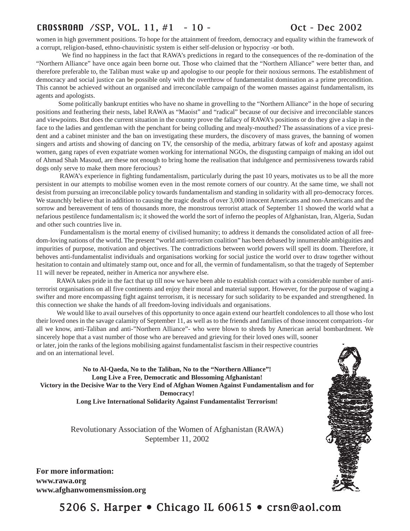#### CROSSROAD /SSP, VOL. 11, #1 - 10 - Oct - Dec 2002

women in high government positions. To hope for the attainment of freedom, democracy and equality within the framework of a corrupt, religion-based, ethno-chauvinistic system is either self-delusion or hypocrisy -or both.

 We find no happiness in the fact that RAWA's predictions in regard to the consequences of the re-domination of the "Northern Alliance" have once again been borne out. Those who claimed that the "Northern Alliance" were better than, and therefore preferable to, the Taliban must wake up and apologise to our people for their noxious sermons. The establishment of democracy and social justice can be possible only with the overthrow of fundamentalist domination as a prime precondition. This cannot be achieved without an organised and irreconcilable campaign of the women masses against fundamentalism, its agents and apologists.

 Some politically bankrupt entities who have no shame in grovelling to the "Northern Alliance" in the hope of securing positions and feathering their nests, label RAWA as "Maoist" and "radical" because of our decisive and irreconcilable stances and viewpoints. But does the current situation in the country prove the fallacy of RAWA's positions or do they give a slap in the face to the ladies and gentleman with the penchant for being colluding and mealy-mouthed? The assassinations of a vice president and a cabinet minister and the ban on investigating these murders, the discovery of mass graves, the banning of women singers and artists and showing of dancing on TV, the censorship of the media, arbitrary fatwas of kofr and apostasy against women, gang rapes of even expatriate women working for international NGOs, the disgusting campaign of making an idol out of Ahmad Shah Masoud, are these not enough to bring home the realisation that indulgence and permissiveness towards rabid dogs only serve to make them more ferocious?

 RAWA's experience in fighting fundamentalism, particularly during the past 10 years, motivates us to be all the more persistent in our attempts to mobilise women even in the most remote corners of our country. At the same time, we shall not desist from pursuing an irreconcilable policy towards fundamentalism and standing in solidarity with all pro-democracy forces. We staunchly believe that in addition to causing the tragic deaths of over 3,000 innocent Americans and non-Americans and the sorrow and bereavement of tens of thousands more, the monstrous terrorist attack of September 11 showed the world what a nefarious pestilence fundamentalism is; it showed the world the sort of inferno the peoples of Afghanistan, Iran, Algeria, Sudan and other such countries live in.

 Fundamentalism is the mortal enemy of civilised humanity; to address it demands the consolidated action of all freedom-loving nations of the world. The present "world anti-terrorism coalition" has been debased by innumerable ambiguities and impurities of purpose, motivation and objectives. The contradictions between world powers will spell its doom. Therefore, it behoves anti-fundamentalist individuals and organisations working for social justice the world over to draw together without hesitation to contain and ultimately stamp out, once and for all, the vermin of fundamentalism, so that the tragedy of September 11 will never be repeated, neither in America nor anywhere else.

 RAWA takes pride in the fact that up till now we have been able to establish contact with a considerable number of antiterrorist organisations on all five continents and enjoy their moral and material support. However, for the purpose of waging a swifter and more encompassing fight against terrorism, it is necessary for such solidarity to be expanded and strengthened. In this connection we shake the hands of all freedom-loving individuals and organisations.

 We would like to avail ourselves of this opportunity to once again extend our heartfelt condolences to all those who lost their loved ones in the savage calamity of September 11, as well as to the friends and families of those innocent compatriots -for all we know, anti-Taliban and anti-"Northern Alliance"- who were blown to shreds by American aerial bombardment. We sincerely hope that a vast number of those who are bereaved and grieving for their loved ones will, sooner or later, join the ranks of the legions mobilising against fundamentalist fascism in their respective countries and on an international level.

**No to Al-Qaeda, No to the Taliban, No to the "Northern Alliance"! Long Live a Free, Democratic and Blossoming Afghanistan! Victory in the Decisive War to the Very End of Afghan Women Against Fundamentalism and for Democracy! Long Live International Solidarity Against Fundamentalist Terrorism!**

> Revolutionary Association of the Women of Afghanistan (RAWA) September 11, 2002

**For more information: www.rawa.org www.afghanwomensmission.org**

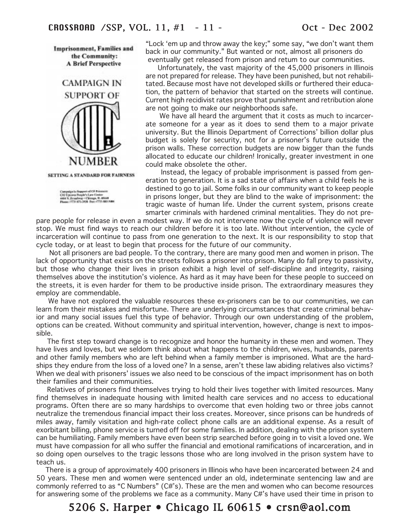**Imprisonment**, Families and the Community: **A Brief Perspective** 



Compaign in Support of CF Primmers<br>CO Uptone Propic's Law Center<br>464 S. Breadway - Chicage, S. 40449<br>Phase: (775-471-303). Perc (772-883-546)

"Lock 'em up and throw away the key;" some say, "we don't want them back in our community." But wanted or not, almost all prisoners do eventually get released from prison and retum to our communities.

 Unfortunately, the vast majority of the 45,000 prisoners in Illinois are not prepared for release. They have been punished, but not rehabilitated. Because most have not developed skills or furthered their education, the pattern of behavior that started on the streets will continue. Current high recidivist rates prove that punishment and retribution alone are not going to make our neighborhoods safe.

 We have all heard the argument that it costs as much to incarcerate someone for a year as it does to send them to a major private university. But the Illinois Department of Corrections' billion dollar plus budget is solely for security, not for a prisoner's future outside the prison walls. These correction budgets are now bigger than the funds allocated to educate our children! Ironically, greater investment in one could make obsolete the other.

 Instead, the legacy of probable imprisonment is passed from generation to generation. It is a sad state of affairs when a child feels he is destined to go to jail. Some folks in our community want to keep people in prisons longer, but they are blind to the wake of imprisonment: the tragic waste of human life. Under the current system, prisons create smarter criminals with hardened criminal mentalities. They do not pre-

pare people for release in even a modest way. If we do not intervene now the cycle of violence will never stop. We must find ways to reach our children before it is too late. Without intervention, the cycle of incarceration will continue to pass from one generation to the next. It is our responsibility to stop that cycle today, or at least to begin that process for the future of our community.

 Not all prisoners are bad people. To the contrary, there are many good men and women in prison. The lack of opportunity that exists on the streets follows a prisoner into prison. Many do fall prey to passivity, but those who change their lives in prison exhibit a high level of self-discipline and integrity, raising themselves above the institution's violence. As hard as it may have been for these people to succeed on the streets, it is even harder for them to be productive inside prison. The extraordinary measures they employ are commendable.

 We have not explored the valuable resources these ex-prisoners can be to our communities, we can learn from their mistakes and misfortune. There are underlying circumstances that create criminal behavior and many social issues fuel this type of behavior. Through our own understanding of the problem, options can be created. Without community and spiritual intervention, however, change is next to impossible.

 The first step toward change is to recognize and honor the humanity in these men and women. They have lives and loves, but we seldom think about what happens to the children, wives, husbands, parents and other family members who are left behind when a family member is imprisoned. What are the hardships they endure from the loss of a loved one? In a sense, aren't these law abiding relatives also victims? When we deal with prisoners' issues we also need to be conscious of the impact imprisonment has on both their families and their communities.

 Relatives of prisoners find themselves trying to hold their lives together with limited resources. Many find themselves in inadequate housing with limited health care services and no access to educational programs. Often there are so many hardships to overcome that even holding two or three jobs cannot neutralize the tremendous financial impact their loss creates. Moreover, since prisons can be hundreds of miles away, family visitation and high-rate collect phone calls are an additional expense. As a result of exorbitant billing, phone service is turned off for some families. In addition, dealing with the prison system can be humiliating. Family members have even been strip searched before going in to visit a loved one. We must have compassion for all who suffer the financial and emotional ramifications of incarceration, and in so doing open ourselves to the tragic lessons those who are long involved in the prison system have to teach us.

 There is a group of approximately 400 prisoners in Illinois who have been incarcerated between 24 and 50 years. These men and women were sentenced under an old, indeterminate sentencing law and are commonly referred to as "C Numbers" (C#'s). These are the men and women who can become resources for answering some of the problems we face as a community. Many C#'s have used their time in prison to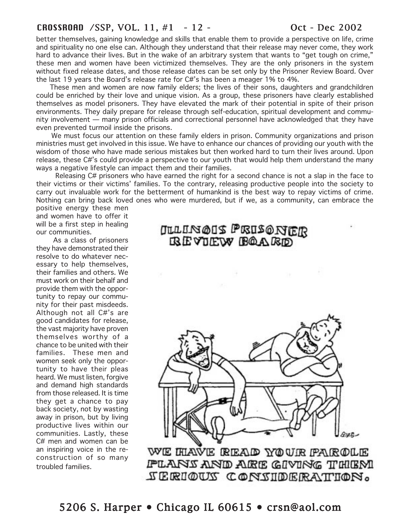#### CROSSROAD /SSP, VOL. 11, #1 - 12 - Oct - Dec 2002

better themselves, gaining knowledge and skills that enable them to provide a perspective on life, crime and spirituality no one else can. Although they understand that their release may never come, they work hard to advance their lives. But in the wake of an arbitrary system that wants to "get tough on crime," these men and women have been victimized themselves. They are the only prisoners in the system without fixed release dates, and those release dates can be set only by the Prisoner Review Board. Over the last 19 years the Board's release rate for C#'s has been a meager 1% to 4%.

 These men and women are now family elders; the lives of their sons, daughters and grandchildren could be enriched by their love and unique vision. As a group, these prisoners have clearly established themselves as model prisoners. They have elevated the mark of their potential in spite of their prison environments. They daily prepare for release through self-education, spiritual development and community involvement — many prison officials and correctional personnel have acknowledged that they have even prevented turmoil inside the prisons.

 We must focus our attention on these family elders in prison. Community organizations and prison ministries must get involved in this issue. We have to enhance our chances of providing our youth with the wisdom of those who have made serious mistakes but then worked hard to turn their lives around. Upon release, these C#'s could provide a perspective to our youth that would help them understand the many ways a negative lifestyle can impact them and their families.

 Releasing C# prisoners who have earned the right for a second chance is not a slap in the face to their victims or their victims' families. To the contrary, releasing productive people into the society to carry out invaluable work for the betterment of humankind is the best way to repay victims of crime. Nothing can bring back loved ones who were murdered, but if we, as a community, can embrace the

positive energy these men and women have to offer it will be a first step in healing our communities.

 As a class of prisoners they have demonstrated their resolve to do whatever necessary to help themselves, their families and others. We must work on their behalf and provide them with the opportunity to repay our community for their past misdeeds. Although not all C#'s are good candidates for release, the vast majority have proven themselves worthy of a chance to be united with their families. These men and women seek only the opportunity to have their pleas heard. We must listen, forgive and demand high standards from those released. It is time they get a chance to pay back society, not by wasting away in prison, but by living productive lives within our communities. Lastly, these C# men and women can be an inspiring voice in the reconstruction of so many troubled families.

## **JLLINGIS FRISONER**<br>REVIEW BOARD



WE HAVE READ YOUR PAROLE PLANI AND ARE GIVING THIEM JERIOUS CONSIDERATION.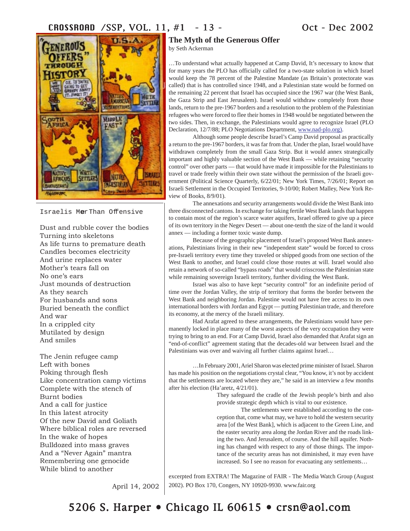

Israelis MerThan Offensive

Dust and rubble cover the bodies Turning into skeletons As life turns to premature death Candles becomes electricity And urine replaces water Mother's tears fall on No one's ears Just mounds of destruction As they search For husbands and sons Buried beneath the conflict And war In a crippled city Mutilated by design And smiles

The Jenin refugee camp Left with bones Poking through flesh Like concentration camp victims Complete with the stench of Burnt bodies And a call for justice In this latest atrocity Of the new David and Goliath Where biblical roles are reversed In the wake of hopes Bulldozed into mass graves And a "Never Again" mantra Remembering one genocide While blind to another

April 14, 2002

**The Myth of the Generous Offer**

by Seth Ackerman

…To understand what actually happened at Camp David, It's necessary to know that for many years the PLO has officially called for a two-state solution in which Israel would keep the 78 percent of the Palestine Mandate (as Britain's protectorate was called) that is has controlled since 1948, and a Palestinian state would be formed on the remaining 22 percent that Israel has occupied since the 1967 war (the West Bank, the Gaza Strip and East Jerusalem). Israel would withdraw completely from those lands, return to the pre-1967 borders and a resolution to the problem of the Palestinian refugees who were forced to flee their homes in 1948 would be negotiated between the two sides. Then, in exchange, the Palestinians would agree to recognize Israel (PLO Declaration, 12/7/88; PLO Negotiations Department, www.nad-plo.org).

Although some people describe Israel's Camp David proposal as practically a return to the pre-1967 borders, it was far from that. Under the plan, Israel would have withdrawn completely from the small Gaza Strip. But it would annex strategically important and highly valuable section of the West Bank — while retaining "security control" over other parts — that would have made it impossible for the Palestinians to travel or trade freely within their own state without the permission of the Israeli government (Political Science Quarterly, 6/22/01; New York Times, 7/26/01; Report on Israeli Settlement in the Occupied Territories, 9-10/00; Robert Malley, New York Review of Books, 8/9/01).

The annexations and security arrangements would divide the West Bank into three disconnected cantons. In exchange for taking fertile West Bank lands that happen to contain most of the region's scarce water aquifers, Israel offered to give up a piece of its own territory in the Negev Desert — about one-tenth the size of the land it would annex — including a former toxic waste dump.

Because of the geographic placement of Israel's proposed West Bank annexations, Palestinians living in their new "independent state" would be forced to cross pre-Israeli territory every time they traveled or shipped goods from one section of the West Bank to another, and Israel could close those routes at will. Israel would also retain a network of so-called "bypass roads" that would crisscross the Palestinian state while remaining sovereign Israeli territory, further dividing the West Bank.

Israel was also to have kept "security control" for an indefinite period of time over the Jordan Valley, the strip of territory that forms the border between the West Bank and neighboring Jordan. Palestine would not have free access to its own international borders with Jordan and Egypt — putting Palestinian trade, and therefore its economy, at the mercy of the Israeli military.

Had Arafat agreed to these arrangements, the Palestinians would have permanently locked in place many of the worst aspects of the very occupation they were trying to bring to an end. For at Camp David, Israel also demanded that Arafat sign an "end-of-conflict" agreement stating that the decades-old war between Israel and the Palestinians was over and waiving all further claims against Israel…

…In February 2001, Ariel Sharon was elected prime minister of Israel. Sharon has made his position on the negotiations crystal clear, "You know, it's not by accident that the settlements are located where they are," he said in an interview a few months after his election (Ha'aretz, 4/21/01).

> They safeguard the cradle of the Jewish people's birth and also provide strategic depth which is vital to our existence.

> The settlements were established according to the conception that, come what may, we have to hold the western security area [of the West Bank], which is adjacent to the Green Line, and the easter security area along the Jordan River and the roads linking the two. And Jerusalem, of course. And the hill aquifer. Nothing has changed with respect to any of those things. The importance of the security areas has not diminished, it may even have increased. So I see no reason for evacuating any settlements…

excerpted from EXTRA! The Magazine of FAIR - The Media Watch Group (August 2002). PO Box 170, Congers, NY 10920-9930. www.fair.org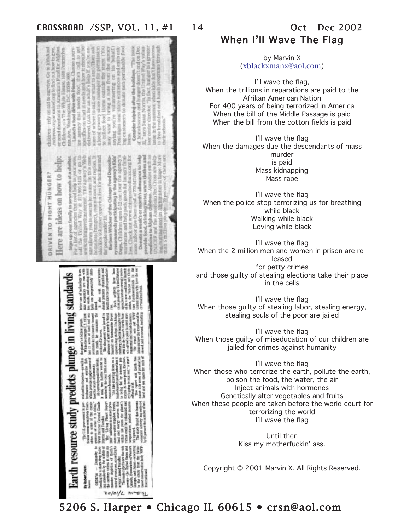# в Thom is 盲道 what to say.) bring ġ where to **CAGIL** tich a food Ξ wance to Food Dap are ideas on how to RIVEN TO FIGHT HUNGER ere Earth resource study predicts plunge in living standards

望去

ZO/OI/L MATIL

## When I'll Wave The Flag

by Marvin X (xblackxmanx@aol.com)

I'll wave the flag, When the trillions in reparations are paid to the Afrikan American Nation For 400 years of being terrorized in America When the bill of the Middle Passage is paid When the bill from the cotton fields is paid

I'll wave the flag When the damages due the descendants of mass murder is paid Mass kidnapping Mass rape

I'll wave the flag When the police stop terrorizing us for breathing while black Walking while black Loving while black

I'll wave the flag When the 2 million men and women in prison are released for petty crimes and those guilty of stealing elections take their place in the cells

I'll wave the flag When those guilty of stealing labor, stealing energy, stealing souls of the poor are jailed

I'll wave the flag When those guilty of miseducation of our children are jailed for crimes against humanity

I'll wave the flag When those who terrorize the earth, pollute the earth, poison the food, the water, the air Inject animals with hormones Genetically alter vegetables and fruits When these people are taken before the world court for terrorizing the world I'll wave the flag

> Until then Kiss my motherfuckin' ass.

Copyright © 2001 Marvin X. All Rights Reserved.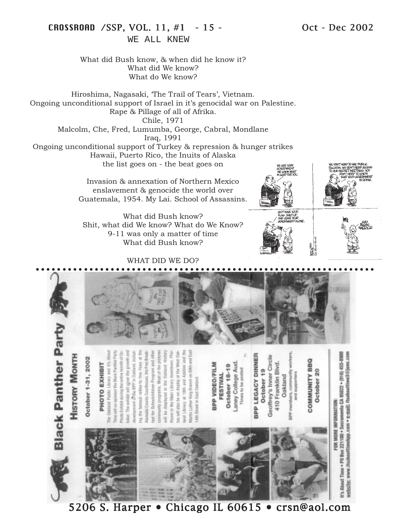#### CROSSROAD /SSP, VOL. 11, #1 - 15 - Oct - Dec 2002

WE ALL KNEW

What did Bush know, & when did he know it? What did We know? What do We know?

Hiroshima, Nagasaki, 'The Trail of Tears', Vietnam. Ongoing unconditional support of Israel in it's genocidal war on Palestine. Rape & Pillage of all of Afrika. Chile, 1971 Malcolm, Che, Fred, Lumumba, George, Cabral, Mondlane Iraq, 1991 Ongoing unconditional support of Turkey & repression & hunger strikes Hawaii, Puerto Rico, the Inuits of Alaska the list goes on - the beat goes on

> Invasion & annexation of Northern Mexico enslavement & genocide the world over Guatemala, 1954. My Lai. School of Assassins.

What did Bush know? Shit, what did We know? What do We Know? 9-11 was only a matter of time What did Bush know?

WHAT DID WE DO?









October 1-31, 2002

at 18th and Addition and the **EDITION EXC** West Day displayed in the Dakland Histo Countrouse, the Free Brea programs. Most of the picture talkes-to free Hues of The exhibit will goest the growth sponsor the Black Parither baked Public Library and It's to Exhibit during the entire month PHOTO EXHIBIT Schie 9PP in Oakland, also be on display at the Luther King Dranch on: **East Cokland** Main Library Schoolchitten farmouls. ada County ă ġ ŝ ä

**SPP VIDEO/FILM** aney College Aud October 18-19 Times to be posted **FESTIVAL** 

**BPP LEGACY DINNER** eoffrey's Inner Circle Franklin Blvd. October 19 thers, community<br>and supporters Oakland  $rac{1}{2}$ 

**COMMUNITY BBQ** October 20